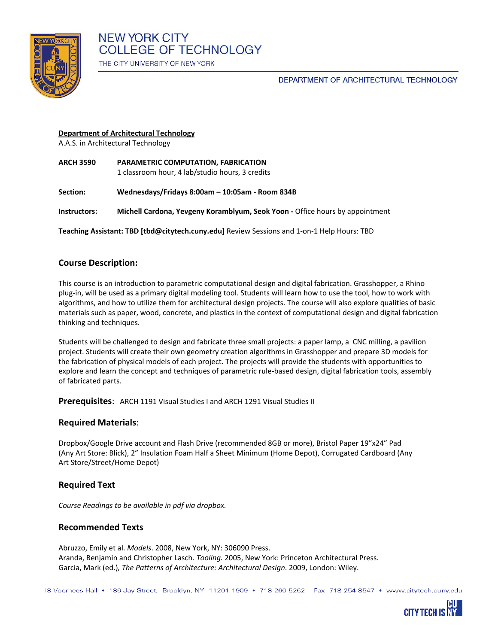

# DEPARTMENT OF ARCHITECTURAL TECHNOLOGY

#### **Department of Architectural Technology**

A.A.S. in Architectural Technology

**ARCH 3590 PARAMETRIC COMPUTATION, FABRICATION** 1 classroom hour, 4 lab/studio hours, 3 credits

**Section: Wednesdays/Fridays 8:00am – 10:05am - Room 834B**

**Instructors: Michell Cardona, Yevgeny Koramblyum, Seok Yoon -** Office hours by appointment

**Teaching Assistant: TBD [tbd@citytech.cuny.edu]** Review Sessions and 1-on-1 Help Hours: TBD

# **Course Description:**

This course is an introduction to parametric computational design and digital fabrication. Grasshopper, a Rhino plug-in, will be used as a primary digital modeling tool. Students will learn how to use the tool, how to work with algorithms, and how to utilize them for architectural design projects. The course will also explore qualities of basic materials such as paper, wood, concrete, and plastics in the context of computational design and digital fabrication thinking and techniques.

Students will be challenged to design and fabricate three small projects: a paper lamp, a CNC milling, a pavilion project. Students will create their own geometry creation algorithms in Grasshopper and prepare 3D models for the fabrication of physical models of each project. The projects will provide the students with opportunities to explore and learn the concept and techniques of parametric rule-based design, digital fabrication tools, assembly of fabricated parts.

**Prerequisites**: ARCH 1191 Visual Studies I and ARCH 1291 Visual Studies II

# **Required Materials**:

Dropbox/Google Drive account and Flash Drive (recommended 8GB or more), Bristol Paper 19"x24" Pad (Any Art Store: Blick), 2" Insulation Foam Half a Sheet Minimum (Home Depot), Corrugated Cardboard (Any Art Store/Street/Home Depot)

# **Required Text**

*Course Readings to be available in pdf via dropbox.*

# **Recommended Texts**

Abruzzo, Emily et al. *Models*. 2008, New York, NY: 306090 Press. Aranda, Benjamin and Christopher Lasch. *Tooling.* 2005, New York: Princeton Architectural Press. Garcia, Mark (ed.)*, The Patterns of Architecture: Architectural Design*. 2009, London: Wiley.

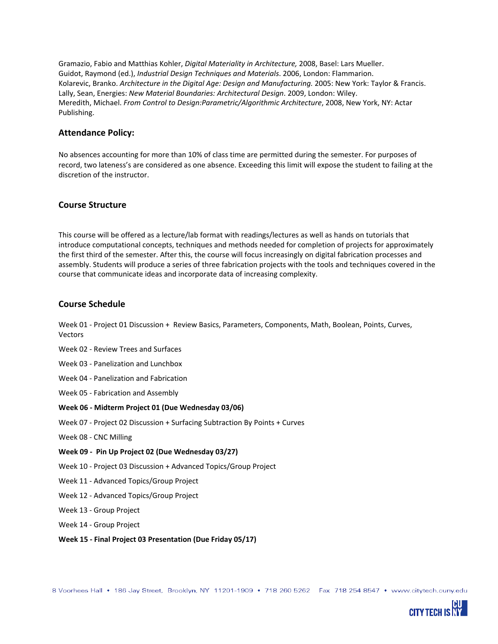Gramazio, Fabio and Matthias Kohler, *Digital Materiality in Architecture,* 2008, Basel: Lars Mueller. Guidot, Raymond (ed.), *Industrial Design Techniques and Materials*. 2006, London: Flammarion. Kolarevic, Branko. *Architecture in the Digital Age: Design and Manufacturing.* 2005: New York: Taylor & Francis. Lally, Sean, Energies: *New Material Boundaries: Architectural Design*. 2009, London: Wiley. Meredith, Michael. *From Control to Design:Parametric/Algorithmic Architecture*, 2008, New York, NY: Actar Publishing.

#### **Attendance Policy:**

No absences accounting for more than 10% of class time are permitted during the semester. For purposes of record, two lateness's are considered as one absence. Exceeding this limit will expose the student to failing at the discretion of the instructor.

#### **Course Structure**

This course will be offered as a lecture/lab format with readings/lectures as well as hands on tutorials that introduce computational concepts, techniques and methods needed for completion of projects for approximately the first third of the semester. After this, the course will focus increasingly on digital fabrication processes and assembly. Students will produce a series of three fabrication projects with the tools and techniques covered in the course that communicate ideas and incorporate data of increasing complexity.

#### **Course Schedule**

Week 01 - Project 01 Discussion + Review Basics, Parameters, Components, Math, Boolean, Points, Curves, Vectors

- Week 02 Review Trees and Surfaces
- Week 03 Panelization and Lunchbox
- Week 04 Panelization and Fabrication
- Week 05 Fabrication and Assembly

#### **Week 06 - Midterm Project 01 (Due Wednesday 03/06)**

Week 07 - Project 02 Discussion + Surfacing Subtraction By Points + Curves

- Week 08 CNC Milling
- **Week 09 - Pin Up Project 02 (Due Wednesday 03/27)**
- Week 10 Project 03 Discussion + Advanced Topics/Group Project
- Week 11 Advanced Topics/Group Project
- Week 12 Advanced Topics/Group Project
- Week 13 Group Project
- Week 14 Group Project
- **Week 15 - Final Project 03 Presentation (Due Friday 05/17)**

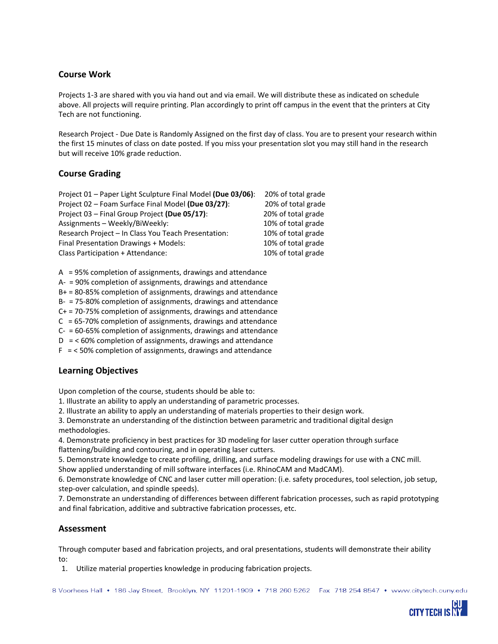# **Course Work**

Projects 1-3 are shared with you via hand out and via email. We will distribute these as indicated on schedule above. All projects will require printing. Plan accordingly to print off campus in the event that the printers at City Tech are not functioning.

Research Project - Due Date is Randomly Assigned on the first day of class. You are to present your research within the first 15 minutes of class on date posted. If you miss your presentation slot you may still hand in the research but will receive 10% grade reduction.

# **Course Grading**

| Project 01 – Paper Light Sculpture Final Model (Due 03/06): | 20% of total grade |
|-------------------------------------------------------------|--------------------|
| Project 02 - Foam Surface Final Model (Due 03/27):          | 20% of total grade |
| Project 03 - Final Group Project (Due 05/17):               | 20% of total grade |
| Assignments - Weekly/BiWeekly:                              | 10% of total grade |
| Research Project - In Class You Teach Presentation:         | 10% of total grade |
| Final Presentation Drawings + Models:                       | 10% of total grade |
| Class Participation + Attendance:                           | 10% of total grade |

A = 95% completion of assignments, drawings and attendance

A- = 90% completion of assignments, drawings and attendance

B+ = 80-85% completion of assignments, drawings and attendance

B- = 75-80% completion of assignments, drawings and attendance

C+ = 70-75% completion of assignments, drawings and attendance

 $C = 65-70%$  completion of assignments, drawings and attendance

C- = 60-65% completion of assignments, drawings and attendance

 $D = < 60\%$  completion of assignments, drawings and attendance

 $F = < 50\%$  completion of assignments, drawings and attendance

# **Learning Objectives**

Upon completion of the course, students should be able to:

1. Illustrate an ability to apply an understanding of parametric processes.

2. Illustrate an ability to apply an understanding of materials properties to their design work.

3. Demonstrate an understanding of the distinction between parametric and traditional digital design methodologies.

4. Demonstrate proficiency in best practices for 3D modeling for laser cutter operation through surface flattening/building and contouring, and in operating laser cutters.

5. Demonstrate knowledge to create profiling, drilling, and surface modeling drawings for use with a CNC mill. Show applied understanding of mill software interfaces (i.e. RhinoCAM and MadCAM).

6. Demonstrate knowledge of CNC and laser cutter mill operation: (i.e. safety procedures, tool selection, job setup, step-over calculation, and spindle speeds).

7. Demonstrate an understanding of differences between different fabrication processes, such as rapid prototyping and final fabrication, additive and subtractive fabrication processes, etc.

#### **Assessment**

Through computer based and fabrication projects, and oral presentations, students will demonstrate their ability to:

1. Utilize material properties knowledge in producing fabrication projects.

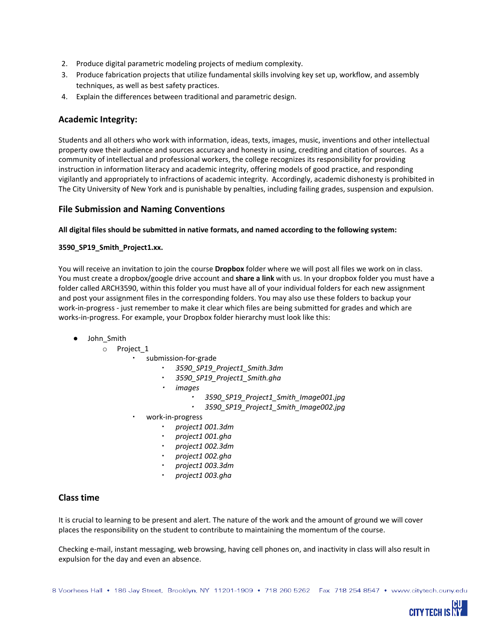- 2. Produce digital parametric modeling projects of medium complexity.
- 3. Produce fabrication projects that utilize fundamental skills involving key set up, workflow, and assembly techniques, as well as best safety practices.
- 4. Explain the differences between traditional and parametric design.

# **Academic Integrity:**

Students and all others who work with information, ideas, texts, images, music, inventions and other intellectual property owe their audience and sources accuracy and honesty in using, crediting and citation of sources. As a community of intellectual and professional workers, the college recognizes its responsibility for providing instruction in information literacy and academic integrity, offering models of good practice, and responding vigilantly and appropriately to infractions of academic integrity. Accordingly, academic dishonesty is prohibited in The City University of New York and is punishable by penalties, including failing grades, suspension and expulsion.

#### **File Submission and Naming Conventions**

#### **All digital files should be submitted in native formats, and named according to the following system:**

#### **3590\_SP19\_Smith\_Project1.xx.**

You will receive an invitation to join the course **Dropbox** folder where we will post all files we work on in class. You must create a dropbox/google drive account and **share a link** with us. In your dropbox folder you must have a folder called ARCH3590, within this folder you must have all of your individual folders for each new assignment and post your assignment files in the corresponding folders. You may also use these folders to backup your work-in-progress - just remember to make it clear which files are being submitted for grades and which are works-in-progress. For example, your Dropbox folder hierarchy must look like this:

- John\_Smith
	- o Project\_1
		- submission-for-grade
			- *3590\_SP19\_Project1\_Smith.3dm*
			- 3590\_SP19\_Project1\_Smith.gha
			- *images*
				- *3590\_SP19\_Project1\_Smith\_Image001.jpg*
				- *3590\_SP19\_Project1\_Smith\_Image002.jpg*
		- work-in-progress
			- *project1 001.3dm*
			- *project1 001.gha*
			- *project1 002.3dm*
			- *project1 002.gha*
			- *project1 003.3dm*
			- *project1 003.gha*

#### **Class time**

It is crucial to learning to be present and alert. The nature of the work and the amount of ground we will cover places the responsibility on the student to contribute to maintaining the momentum of the course.

Checking e-mail, instant messaging, web browsing, having cell phones on, and inactivity in class will also result in expulsion for the day and even an absence.

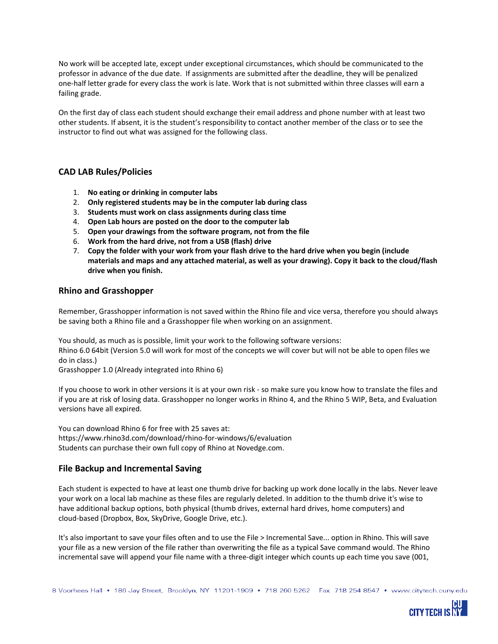No work will be accepted late, except under exceptional circumstances, which should be communicated to the professor in advance of the due date. If assignments are submitted after the deadline, they will be penalized one-half letter grade for every class the work is late. Work that is not submitted within three classes will earn a failing grade.

On the first day of class each student should exchange their email address and phone number with at least two other students. If absent, it is the student's responsibility to contact another member of the class or to see the instructor to find out what was assigned for the following class.

# **CAD LAB Rules/Policies**

- 1. **No eating or drinking in computer labs**
- 2. **Only registered students may be in the computer lab during class**
- 3. **Students must work on class assignments during class time**
- 4. **Open Lab hours are posted on the door to the computer lab**
- 5. **Open your drawings from the software program, not from the file**
- 6. **Work from the hard drive, not from a USB (flash) drive**
- 7. **Copy the folder with your work from your flash drive to the hard drive when you begin (include** materials and maps and any attached material, as well as your drawing). Copy it back to the cloud/flash **drive when you finish.**

#### **Rhino and Grasshopper**

Remember, Grasshopper information is not saved within the Rhino file and vice versa, therefore you should always be saving both a Rhino file and a Grasshopper file when working on an assignment.

You should, as much as is possible, limit your work to the following software versions: Rhino 6.0 64bit (Version 5.0 will work for most of the concepts we will cover but will not be able to open files we do in class.)

Grasshopper 1.0 (Already integrated into Rhino 6)

If you choose to work in other versions it is at your own risk - so make sure you know how to translate the files and if you are at risk of losing data. Grasshopper no longer works in Rhino 4, and the Rhino 5 WIP, Beta, and Evaluation versions have all expired.

You can download Rhino 6 for free with 25 saves at: https://www.rhino3d.com/download/rhino-for-windows/6/evaluation Students can purchase their own full copy of Rhino at Novedge.com.

# **File Backup and Incremental Saving**

Each student is expected to have at least one thumb drive for backing up work done locally in the labs. Never leave your work on a local lab machine as these files are regularly deleted. In addition to the thumb drive it's wise to have additional backup options, both physical (thumb drives, external hard drives, home computers) and cloud-based (Dropbox, Box, SkyDrive, Google Drive, etc.).

It's also important to save your files often and to use the File > Incremental Save... option in Rhino. This will save your file as a new version of the file rather than overwriting the file as a typical Save command would. The Rhino incremental save will append your file name with a three-digit integer which counts up each time you save (001,